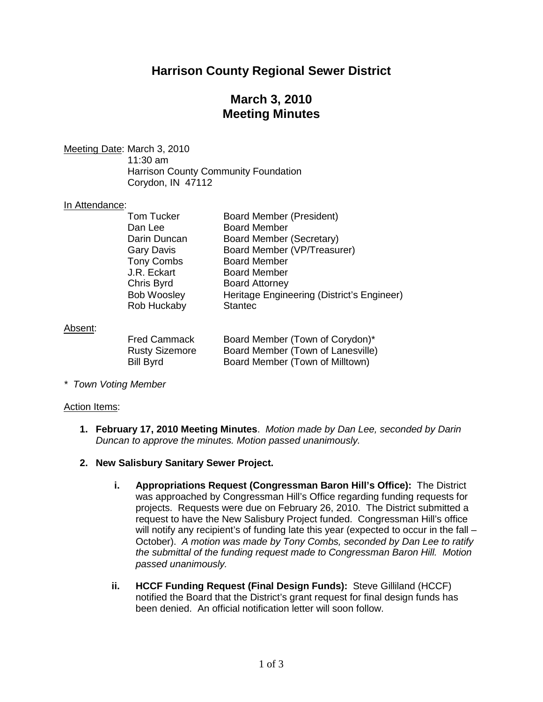# **Harrison County Regional Sewer District**

# **March 3, 2010 Meeting Minutes**

Meeting Date : March 3, 2010

11:30 am Harrison County Community Foundation Corydon, IN 47112

### In Attendance:

| <b>Tom Tucker</b><br>Dan Lee<br>Darin Duncan<br><b>Gary Davis</b><br><b>Tony Combs</b><br>J.R. Eckart<br>Chris Byrd<br><b>Bob Woosley</b> | <b>Board Member (President)</b><br><b>Board Member</b><br>Board Member (Secretary)<br>Board Member (VP/Treasurer)<br><b>Board Member</b><br><b>Board Member</b><br><b>Board Attorney</b><br>Heritage Engineering (District's Engineer) |
|-------------------------------------------------------------------------------------------------------------------------------------------|----------------------------------------------------------------------------------------------------------------------------------------------------------------------------------------------------------------------------------------|
| Rob Huckaby                                                                                                                               | <b>Stantec</b>                                                                                                                                                                                                                         |
|                                                                                                                                           |                                                                                                                                                                                                                                        |

### Absent:

| <b>Fred Cammack</b>   | Board Member (Town of Corydon)*   |
|-----------------------|-----------------------------------|
| <b>Rusty Sizemore</b> | Board Member (Town of Lanesville) |
| <b>Bill Byrd</b>      | Board Member (Town of Milltown)   |

*\* Town Voting Member*

#### Action Items:

- **1. February 17, 2010 Meeting Minutes**. *Motion made by Dan Lee, seconded by Darin Duncan to approve the minutes. Motion passed unanimously.*
- **2. New Salisbury Sanitary Sewer Project.** 
	- **i. Appropriations Request (Congressman Baron Hill's Office):** The District was approached by Congressman Hill's Office regarding funding requests for projects. Requests were due on February 26, 2010. The District submitted a request to have the New Salisbury Project funded. Congressman Hill's office will notify any recipient's of funding late this year (expected to occur in the fall – October). *A motion was made by Tony Combs, seconded by Dan Lee to ratify the submittal of the funding request made to Congressman Baron Hill. Motion passed unanimously.*
	- **ii. HCCF Funding Request (Final Design Funds):** Steve Gilliland (HCCF) notified the Board that the District's grant request for final design funds has been denied. An official notification letter will soon follow.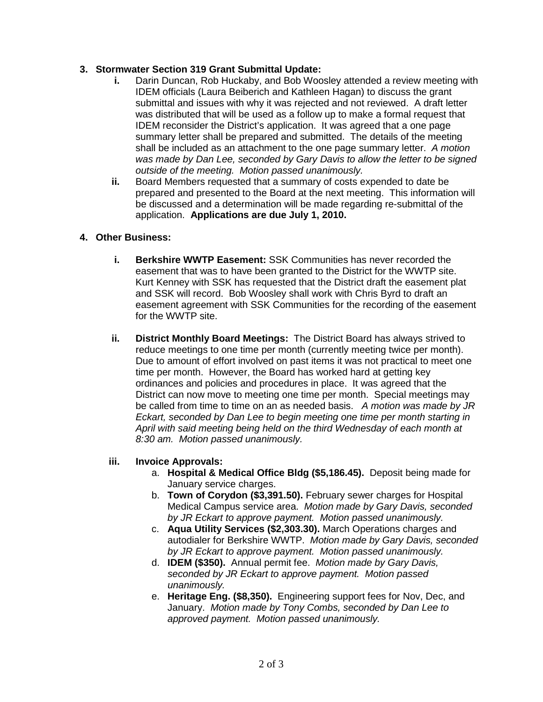### **3. Stormwater Section 319 Grant Submittal Update:**

- **i.** Darin Duncan, Rob Huckaby, and Bob Woosley attended a review meeting with IDEM officials (Laura Beiberich and Kathleen Hagan) to discuss the grant submittal and issues with why it was rejected and not reviewed. A draft letter was distributed that will be used as a follow up to make a formal request that IDEM reconsider the District's application. It was agreed that a one page summary letter shall be prepared and submitted. The details of the meeting shall be included as an attachment to the one page summary letter. *A motion was made by Dan Lee, seconded by Gary Davis to allow the letter to be signed outside of the meeting. Motion passed unanimously.*
- **ii.** Board Members requested that a summary of costs expended to date be prepared and presented to the Board at the next meeting. This information will be discussed and a determination will be made regarding re-submittal of the application. **Applications are due July 1, 2010.**

### **4. Other Business:**

- **i. Berkshire WWTP Easement:** SSK Communities has never recorded the easement that was to have been granted to the District for the WWTP site. Kurt Kenney with SSK has requested that the District draft the easement plat and SSK will record. Bob Woosley shall work with Chris Byrd to draft an easement agreement with SSK Communities for the recording of the easement for the WWTP site.
- **ii. District Monthly Board Meetings:** The District Board has always strived to reduce meetings to one time per month (currently meeting twice per month). Due to amount of effort involved on past items it was not practical to meet one time per month. However, the Board has worked hard at getting key ordinances and policies and procedures in place. It was agreed that the District can now move to meeting one time per month. Special meetings may be called from time to time on an as needed basis. *A motion was made by JR Eckart, seconded by Dan Lee to begin meeting one time per month starting in April with said meeting being held on the third Wednesday of each month at 8:30 am. Motion passed unanimously.*

## **iii. Invoice Approvals:**

- a. **Hospital & Medical Office Bldg (\$5,186.45).** Deposit being made for January service charges.
- b. **Town of Corydon (\$3,391.50).** February sewer charges for Hospital Medical Campus service area. *Motion made by Gary Davis, seconded by JR Eckart to approve payment. Motion passed unanimously.*
- c. **Aqua Utility Services (\$2,303.30).** March Operations charges and autodialer for Berkshire WWTP. *Motion made by Gary Davis, seconded by JR Eckart to approve payment. Motion passed unanimously.*
- d. **IDEM (\$350).** Annual permit fee. *Motion made by Gary Davis, seconded by JR Eckart to approve payment. Motion passed unanimously.*
- e. **Heritage Eng. (\$8,350).** Engineering support fees for Nov, Dec, and January. *Motion made by Tony Combs, seconded by Dan Lee to approved payment. Motion passed unanimously.*